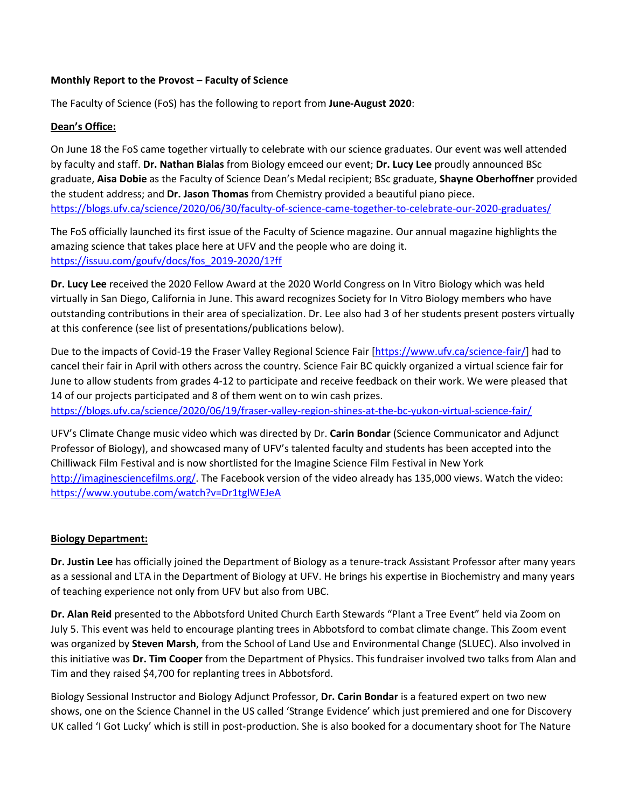#### **Monthly Report to the Provost – Faculty of Science**

The Faculty of Science (FoS) has the following to report from **June-August 2020**:

## **Dean's Office:**

On June 18 the FoS came together virtually to celebrate with our science graduates. Our event was well attended by faculty and staff. **Dr. Nathan Bialas** from Biology emceed our event; **Dr. Lucy Lee** proudly announced BSc graduate, **Aisa Dobie** as the Faculty of Science Dean's Medal recipient; BSc graduate, **Shayne Oberhoffner** provided the student address; and **Dr. Jason Thomas** from Chemistry provided a beautiful piano piece. <https://blogs.ufv.ca/science/2020/06/30/faculty-of-science-came-together-to-celebrate-our-2020-graduates/>

The FoS officially launched its first issue of the Faculty of Science magazine. Our annual magazine highlights the amazing science that takes place here at UFV and the people who are doing it. [https://issuu.com/goufv/docs/fos\\_2019-2020/1?ff](https://issuu.com/goufv/docs/fos_2019-2020/1?ff)

**Dr. Lucy Lee** received the 2020 Fellow Award at the 2020 World Congress on In Vitro Biology which was held virtually in San Diego, California in June. This award recognizes Society for In Vitro Biology members who have outstanding contributions in their area of specialization. Dr. Lee also had 3 of her students present posters virtually at this conference (see list of presentations/publications below).

Due to the impacts of Covid-19 the Fraser Valley Regional Science Fair [\[https://www.ufv.ca/science-fair/\]](https://www.ufv.ca/science-fair/) had to cancel their fair in April with others across the country. Science Fair BC quickly organized a virtual science fair for June to allow students from grades 4-12 to participate and receive feedback on their work. We were pleased that 14 of our projects participated and 8 of them went on to win cash prizes. <https://blogs.ufv.ca/science/2020/06/19/fraser-valley-region-shines-at-the-bc-yukon-virtual-science-fair/>

UFV's Climate Change music video which was directed by Dr. **Carin Bondar** (Science Communicator and Adjunct Professor of Biology), and showcased many of UFV's talented faculty and students has been accepted into the Chilliwack Film Festival and is now shortlisted for the Imagine Science Film Festival in New York [http://imaginesciencefilms.org/.](http://imaginesciencefilms.org/) The Facebook version of the video already has 135,000 views. Watch the video: <https://www.youtube.com/watch?v=Dr1tglWEJeA>

## **Biology Department:**

**Dr. Justin Lee** has officially joined the Department of Biology as a tenure-track Assistant Professor after many years as a sessional and LTA in the Department of Biology at UFV. He brings his expertise in Biochemistry and many years of teaching experience not only from UFV but also from UBC.

**Dr. Alan Reid** presented to the Abbotsford United Church Earth Stewards "Plant a Tree Event" held via Zoom on July 5. This event was held to encourage planting trees in Abbotsford to combat climate change. This Zoom event was organized by **Steven Marsh**, from the School of Land Use and Environmental Change (SLUEC). Also involved in this initiative was **Dr. Tim Cooper** from the Department of Physics. This fundraiser involved two talks from Alan and Tim and they raised \$4,700 for replanting trees in Abbotsford.

Biology Sessional Instructor and Biology Adjunct Professor, **Dr. Carin Bondar** is a featured expert on two new shows, one on the Science Channel in the US called 'Strange Evidence' which just premiered and one for Discovery UK called 'I Got Lucky' which is still in post-production. She is also booked for a documentary shoot for The Nature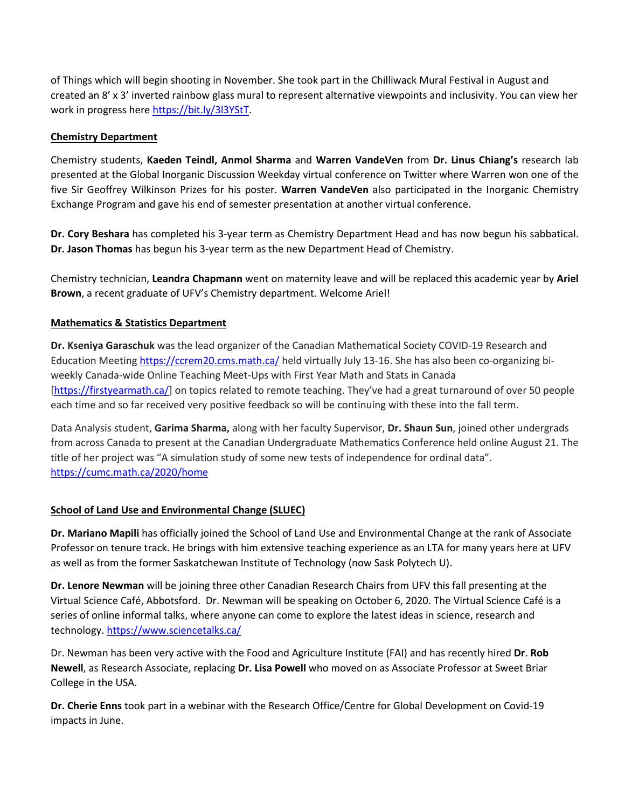of Things which will begin shooting in November. She took part in the Chilliwack Mural Festival in August and created an 8' x 3' inverted rainbow glass mural to represent alternative viewpoints and inclusivity. You can view her work in progress here [https://bit.ly/3l3YStT.](https://bit.ly/3l3YStT)

## **Chemistry Department**

Chemistry students, **Kaeden Teindl, Anmol Sharma** and **Warren VandeVen** from **Dr. Linus Chiang's** research lab presented at the Global Inorganic Discussion Weekday virtual conference on Twitter where Warren won one of the five Sir Geoffrey Wilkinson Prizes for his poster. **Warren VandeVen** also participated in the Inorganic Chemistry Exchange Program and gave his end of semester presentation at another virtual conference.

**Dr. Cory Beshara** has completed his 3-year term as Chemistry Department Head and has now begun his sabbatical. **Dr. Jason Thomas** has begun his 3-year term as the new Department Head of Chemistry.

Chemistry technician, **Leandra Chapmann** went on maternity leave and will be replaced this academic year by **Ariel Brown**, a recent graduate of UFV's Chemistry department. Welcome Ariel!

# **Mathematics & Statistics Department**

**Dr. Kseniya Garaschuk** was the lead organizer of the Canadian Mathematical Society COVID-19 Research and Education Meeting<https://ccrem20.cms.math.ca/> held virtually July 13-16. She has also been co-organizing biweekly Canada-wide Online Teaching Meet-Ups with First Year Math and Stats in Canada [\[https://firstyearmath.ca/\]](https://firstyearmath.ca/) on topics related to remote teaching. They've had a great turnaround of over 50 people each time and so far received very positive feedback so will be continuing with these into the fall term.

Data Analysis student, **Garima Sharma,** along with her faculty Supervisor, **Dr. Shaun Sun**, joined other undergrads from across Canada to present at the Canadian Undergraduate Mathematics Conference held online August 21. The title of her project was "A simulation study of some new tests of independence for ordinal data". <https://cumc.math.ca/2020/home>

## **School of Land Use and Environmental Change (SLUEC)**

**Dr. Mariano Mapili** has officially joined the School of Land Use and Environmental Change at the rank of Associate Professor on tenure track. He brings with him extensive teaching experience as an LTA for many years here at UFV as well as from the former Saskatchewan Institute of Technology (now Sask Polytech U).

**Dr. Lenore Newman** will be joining three other Canadian Research Chairs from UFV this fall presenting at the Virtual Science Café, Abbotsford. Dr. Newman will be speaking on October 6, 2020. The Virtual Science Café is a series of online informal talks, where anyone can come to explore the latest ideas in science, research and technology[. https://www.sciencetalks.ca/](https://www.sciencetalks.ca/)

Dr. Newman has been very active with the Food and Agriculture Institute (FAI) and has recently hired **Dr**. **Rob Newell**, as Research Associate, replacing **Dr. Lisa Powell** who moved on as Associate Professor at Sweet Briar College in the USA.

**Dr. Cherie Enns** took part in a webinar with the Research Office/Centre for Global Development on Covid-19 impacts in June.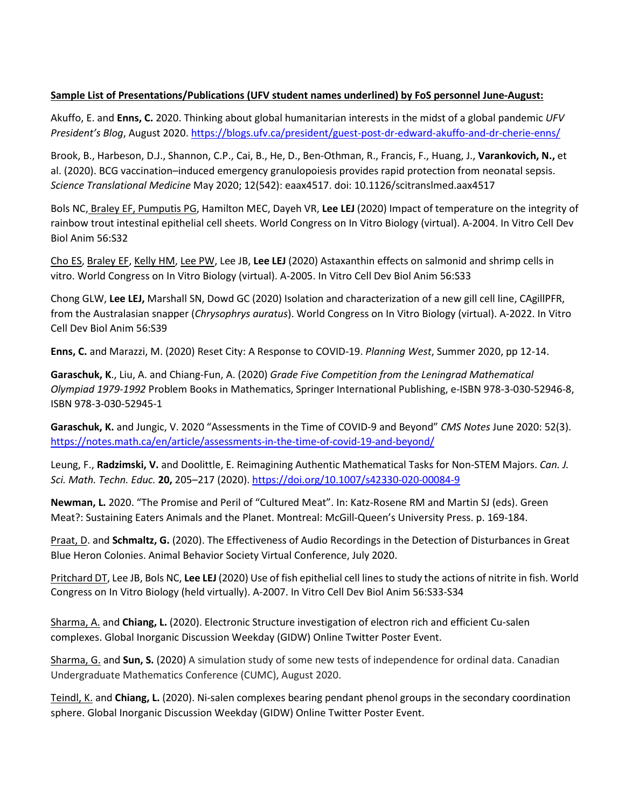## **Sample List of Presentations/Publications (UFV student names underlined) by FoS personnel June-August:**

Akuffo, E. and **Enns, C.** 2020. Thinking about global humanitarian interests in the midst of a global pandemic *UFV President's Blog*, August 2020.<https://blogs.ufv.ca/president/guest-post-dr-edward-akuffo-and-dr-cherie-enns/>

Brook, B., Harbeson, D.J., Shannon, C.P., Cai, B., He, D., Ben-Othman, R., Francis, F., Huang, J., **Varankovich, N.,** et al. (2020). BCG vaccination–induced emergency granulopoiesis provides rapid protection from neonatal sepsis. *Science Translational Medicine* May 2020; 12(542): eaax4517. doi: 10.1126/scitranslmed.aax4517

Bols NC, Braley EF, Pumputis PG, Hamilton MEC, Dayeh VR, **Lee LEJ** (2020) Impact of temperature on the integrity of rainbow trout intestinal epithelial cell sheets. World Congress on In Vitro Biology (virtual). A-2004. In Vitro Cell Dev Biol Anim 56:S32

Cho ES, Braley EF, Kelly HM, Lee PW, Lee JB, **Lee LEJ** (2020) Astaxanthin effects on salmonid and shrimp cells in vitro. World Congress on In Vitro Biology (virtual). A-2005. In Vitro Cell Dev Biol Anim 56:S33

Chong GLW, **Lee LEJ,** Marshall SN, Dowd GC (2020) Isolation and characterization of a new gill cell line, CAgillPFR, from the Australasian snapper (*Chrysophrys auratus*). World Congress on In Vitro Biology (virtual). A-2022. In Vitro Cell Dev Biol Anim 56:S39

**Enns, C.** and Marazzi, M. (2020) Reset City: A Response to COVID-19. *Planning West*, Summer 2020, pp 12-14.

**Garaschuk, K**., Liu, A. and Chiang-Fun, A. (2020) *Grade Five Competition from the Leningrad Mathematical Olympiad 1979-1992* Problem Books in Mathematics, Springer International Publishing, e-ISBN 978-3-030-52946-8, ISBN 978-3-030-52945-1

**Garaschuk, K.** and Jungic, V. 2020 "Assessments in the Time of COVID-9 and Beyond" *CMS Notes* June 2020: 52(3). <https://notes.math.ca/en/article/assessments-in-the-time-of-covid-19-and-beyond/>

Leung, F., **Radzimski, V.** and Doolittle, E. Reimagining Authentic Mathematical Tasks for Non-STEM Majors. *Can. J. Sci. Math. Techn. Educ.* **20,** 205–217 (2020).<https://doi.org/10.1007/s42330-020-00084-9>

**Newman, L.** 2020. "The Promise and Peril of "Cultured Meat". In: Katz-Rosene RM and Martin SJ (eds). Green Meat?: Sustaining Eaters Animals and the Planet. Montreal: McGill-Queen's University Press. p. 169-184.

Praat, D. and **Schmaltz, G.** (2020). The Effectiveness of Audio Recordings in the Detection of Disturbances in Great Blue Heron Colonies. Animal Behavior Society Virtual Conference, July 2020.

Pritchard DT, Lee JB, Bols NC, **Lee LEJ** (2020) Use of fish epithelial cell lines to study the actions of nitrite in fish. World Congress on In Vitro Biology (held virtually). A-2007. In Vitro Cell Dev Biol Anim 56:S33-S34

Sharma, A. and **Chiang, L.** (2020). Electronic Structure investigation of electron rich and efficient Cu-salen complexes. Global Inorganic Discussion Weekday (GIDW) Online Twitter Poster Event.

Sharma, G. and **Sun, S.** (2020) A simulation study of some new tests of independence for ordinal data. Canadian Undergraduate Mathematics Conference (CUMC), August 2020.

Teindl, K. and **Chiang, L.** (2020). Ni-salen complexes bearing pendant phenol groups in the secondary coordination sphere. Global Inorganic Discussion Weekday (GIDW) Online Twitter Poster Event.